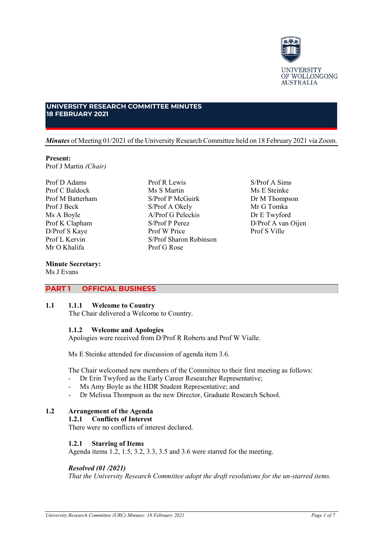

# **UNIVERSITY RESEARCH COMMITTEE MINUTES 18 FEBRUARY 2021**

## *Minutes* of Meeting 01/2021 of the University Research Committee held on 18 February 2021 via Zoom.

## **Present:**

Prof J Martin *(Chair)*

Prof D Adams Prof C Baldock Prof M Batterham Prof J Beck Ms A Boyle Prof K Clapham D/Prof S Kaye Prof L Kervin Mr O Khalifa

**Minute Secretary:** Ms J Evans

Prof R Lewis Ms S Martin S/Prof P McGuirk S/Prof A Okely A/Prof G Peleckis S/Prof P Perez Prof W Price S/Prof Sharon Robinson Prof G Rose

S/Prof A Sims Ms E Steinke Dr M Thompson Mr G Tomka Dr E Twyford D/Prof A van Oijen Prof S Ville

# **PART 1 OFFICIAL BUSINESS**

## **1.1 1.1.1 Welcome to Country**

The Chair delivered a Welcome to Country.

# **1.1.2 Welcome and Apologies**

Apologies were received from D/Prof R Roberts and Prof W Vialle.

Ms E Steinke attended for discussion of agenda item 3.6.

The Chair welcomed new members of the Committee to their first meeting as follows:

- Dr Erin Twyford as the Early Career Researcher Representative;
- Ms Amy Boyle as the HDR Student Representative; and
- Dr Melissa Thompson as the new Director, Graduate Research School.

# **1.2 Arrangement of the Agenda**

# **1.2.1 Conflicts of Interest**

There were no conflicts of interest declared.

# **1.2.1 Starring of Items**

Agenda items 1.2, 1.5, 3.2, 3.3, 3.5 and 3.6 were starred for the meeting.

# *Resolved (01 /2021)*

*That the University Research Committee adopt the draft resolutions for the un-starred items.*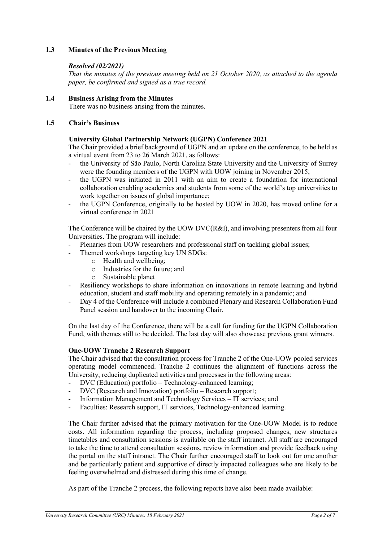# **1.3 Minutes of the Previous Meeting**

# *Resolved (02/2021)*

*That the minutes of the previous meeting held on 21 October 2020, as attached to the agenda paper, be confirmed and signed as a true record.*

# **1.4 Business Arising from the Minutes**

There was no business arising from the minutes.

## **1.5 Chair's Business**

# **University Global Partnership Network (UGPN) Conference 2021**

The Chair provided a brief background of UGPN and an update on the conference, to be held as a virtual event from 23 to 26 March 2021, as follows:

- the University of São Paulo, North Carolina State University and the University of Surrey were the founding members of the UGPN with UOW joining in November 2015;
- the UGPN was initiated in 2011 with an aim to create a foundation for international collaboration enabling academics and students from some of the world's top universities to work together on issues of global importance;
- the UGPN Conference, originally to be hosted by UOW in 2020, has moved online for a virtual conference in 2021

The Conference will be chaired by the UOW DVC(R&I), and involving presenters from all four Universities. The program will include:

- Plenaries from UOW researchers and professional staff on tackling global issues;
- Themed workshops targeting key UN SDGs:
	- o Health and wellbeing;
	- o Industries for the future; and
	- o Sustainable planet
- Resiliency workshops to share information on innovations in remote learning and hybrid education, student and staff mobility and operating remotely in a pandemic; and
- Day 4 of the Conference will include a combined Plenary and Research Collaboration Fund Panel session and handover to the incoming Chair.

On the last day of the Conference, there will be a call for funding for the UGPN Collaboration Fund, with themes still to be decided. The last day will also showcase previous grant winners.

## **One-UOW Tranche 2 Research Support**

The Chair advised that the consultation process for Tranche 2 of the One-UOW pooled services operating model commenced. Tranche 2 continues the alignment of functions across the University, reducing duplicated activities and processes in the following areas:

- DVC (Education) portfolio Technology-enhanced learning;
- DVC (Research and Innovation) portfolio Research support;
- Information Management and Technology Services IT services; and
- Faculties: Research support, IT services, Technology-enhanced learning.

The Chair further advised that the primary motivation for the One-UOW Model is to reduce costs. All information regarding the process, including proposed changes, new structures timetables and consultation sessions is available on the staff intranet. All staff are encouraged to take the time to attend consultation sessions, review information and provide feedback using the portal on the staff intranet. The Chair further encouraged staff to look out for one another and be particularly patient and supportive of directly impacted colleagues who are likely to be feeling overwhelmed and distressed during this time of change.

As part of the Tranche 2 process, the following reports have also been made available: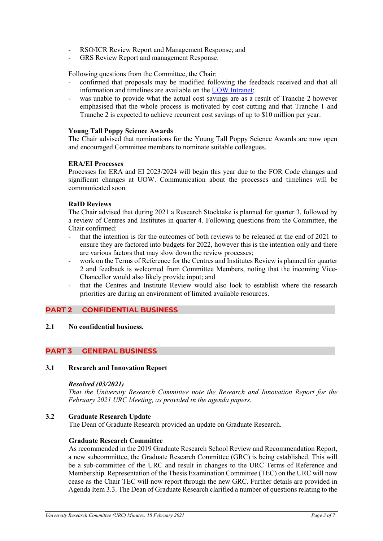- RSO/ICR Review Report and Management Response; and
- GRS Review Report and management Response.

Following questions from the Committee, the Chair:

- confirmed that proposals may be modified following the feedback received and that all information and timelines are available on the [UOW Intranet;](https://intranet.uow.edu.au/business-recovery/index.html)
- was unable to provide what the actual cost savings are as a result of Tranche 2 however emphasised that the whole process is motivated by cost cutting and that Tranche 1 and Tranche 2 is expected to achieve recurrent cost savings of up to \$10 million per year.

## **Young Tall Poppy Science Awards**

The Chair advised that nominations for the Young Tall Poppy Science Awards are now open and encouraged Committee members to nominate suitable colleagues.

#### **ERA/EI Processes**

Processes for ERA and EI 2023/2024 will begin this year due to the FOR Code changes and significant changes at UOW. Communication about the processes and timelines will be communicated soon.

#### **RaID Reviews**

The Chair advised that during 2021 a Research Stocktake is planned for quarter 3, followed by a review of Centres and Institutes in quarter 4. Following questions from the Committee, the Chair confirmed:

- that the intention is for the outcomes of both reviews to be released at the end of 2021 to ensure they are factored into budgets for 2022, however this is the intention only and there are various factors that may slow down the review processes;
- work on the Terms of Reference for the Centres and Institutes Review is planned for quarter 2 and feedback is welcomed from Committee Members, noting that the incoming Vice-Chancellor would also likely provide input; and
- that the Centres and Institute Review would also look to establish where the research priorities are during an environment of limited available resources.

# **PART 2 CONFIDENTIAL BUSINESS**

**2.1 No confidential business.**

# **PART 3 GENERAL BUSINESS**

#### **3.1 Research and Innovation Report**

#### *Resolved (03/2021)*

*That the University Research Committee note the Research and Innovation Report for the February 2021 URC Meeting, as provided in the agenda papers.*

## **3.2 Graduate Research Update**

The Dean of Graduate Research provided an update on Graduate Research.

#### **Graduate Research Committee**

As recommended in the 2019 Graduate Research School Review and Recommendation Report, a new subcommittee, the Graduate Research Committee (GRC) is being established. This will be a sub-committee of the URC and result in changes to the URC Terms of Reference and Membership. Representation of the Thesis Examination Committee (TEC) on the URC will now cease as the Chair TEC will now report through the new GRC. Further details are provided in Agenda Item 3.3. The Dean of Graduate Research clarified a number of questions relating to the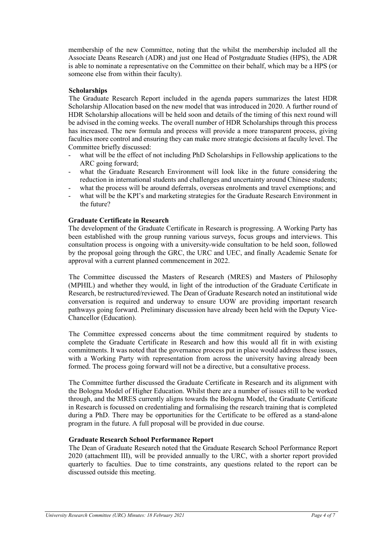membership of the new Committee, noting that the whilst the membership included all the Associate Deans Research (ADR) and just one Head of Postgraduate Studies (HPS), the ADR is able to nominate a representative on the Committee on their behalf, which may be a HPS (or someone else from within their faculty).

# **Scholarships**

The Graduate Research Report included in the agenda papers summarizes the latest HDR Scholarship Allocation based on the new model that was introduced in 2020. A further round of HDR Scholarship allocations will be held soon and details of the timing of this next round will be advised in the coming weeks. The overall number of HDR Scholarships through this process has increased. The new formula and process will provide a more transparent process, giving faculties more control and ensuring they can make more strategic decisions at faculty level. The Committee briefly discussed:

- what will be the effect of not including PhD Scholarships in Fellowship applications to the ARC going forward;
- what the Graduate Research Environment will look like in the future considering the reduction in international students and challenges and uncertainty around Chinese students;
- what the process will be around deferrals, overseas enrolments and travel exemptions; and
- what will be the KPI's and marketing strategies for the Graduate Research Environment in the future?

# **Graduate Certificate in Research**

The development of the Graduate Certificate in Research is progressing. A Working Party has been established with the group running various surveys, focus groups and interviews. This consultation process is ongoing with a university-wide consultation to be held soon, followed by the proposal going through the GRC, the URC and UEC, and finally Academic Senate for approval with a current planned commencement in 2022.

The Committee discussed the Masters of Research (MRES) and Masters of Philosophy (MPHIL) and whether they would, in light of the introduction of the Graduate Certificate in Research, be restructured/reviewed. The Dean of Graduate Research noted an institutional wide conversation is required and underway to ensure UOW are providing important research pathways going forward. Preliminary discussion have already been held with the Deputy Vice-Chancellor (Education).

The Committee expressed concerns about the time commitment required by students to complete the Graduate Certificate in Research and how this would all fit in with existing commitments. It was noted that the governance process put in place would address these issues, with a Working Party with representation from across the university having already been formed. The process going forward will not be a directive, but a consultative process.

The Committee further discussed the Graduate Certificate in Research and its alignment with the Bologna Model of Higher Education. Whilst there are a number of issues still to be worked through, and the MRES currently aligns towards the Bologna Model, the Graduate Certificate in Research is focussed on credentialing and formalising the research training that is completed during a PhD. There may be opportunities for the Certificate to be offered as a stand-alone program in the future. A full proposal will be provided in due course.

## **Graduate Research School Performance Report**

The Dean of Graduate Research noted that the Graduate Research School Performance Report 2020 (attachment III), will be provided annually to the URC, with a shorter report provided quarterly to faculties. Due to time constraints, any questions related to the report can be discussed outside this meeting.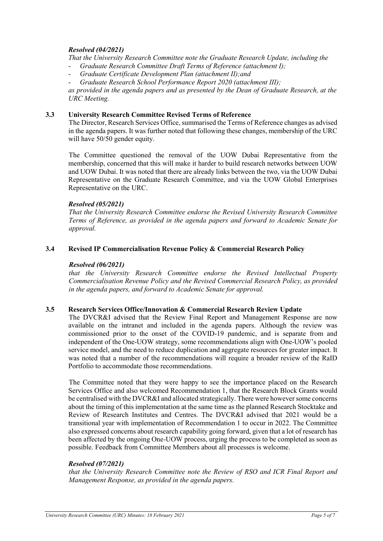# *Resolved (04/2021)*

*That the University Research Committee note the Graduate Research Update, including the*

- *Graduate Research Committee Draft Terms of Reference (attachment I);*
- *Graduate Certificate Development Plan (attachment II);and*
- *Graduate Research School Performance Report 2020 (attachment III);*

*as provided in the agenda papers and as presented by the Dean of Graduate Research, at the URC Meeting.*

## **3.3 University Research Committee Revised Terms of Reference**

The Director, Research Services Office, summarised the Terms of Reference changes as advised in the agenda papers. It was further noted that following these changes, membership of the URC will have 50/50 gender equity.

The Committee questioned the removal of the UOW Dubai Representative from the membership, concerned that this will make it harder to build research networks between UOW and UOW Dubai. It was noted that there are already links between the two, via the UOW Dubai Representative on the Graduate Research Committee, and via the UOW Global Enterprises Representative on the URC.

#### *Resolved (05/2021)*

*That the University Research Committee endorse the Revised University Research Committee Terms of Reference, as provided in the agenda papers and forward to Academic Senate for approval.*

## **3.4 Revised IP Commercialisation Revenue Policy & Commercial Research Policy**

#### *Resolved (06/2021)*

*that the University Research Committee endorse the Revised Intellectual Property Commercialisation Revenue Policy and the Revised Commercial Research Policy, as provided in the agenda papers, and forward to Academic Senate for approval.*

## **3.5 Research Services Office/Innovation & Commercial Research Review Update**

The DVCR&I advised that the Review Final Report and Management Response are now available on the intranet and included in the agenda papers. Although the review was commissioned prior to the onset of the COVID-19 pandemic, and is separate from and independent of the One-UOW strategy, some recommendations align with One-UOW's pooled service model, and the need to reduce duplication and aggregate resources for greater impact. It was noted that a number of the recommendations will require a broader review of the RaID Portfolio to accommodate those recommendations.

The Committee noted that they were happy to see the importance placed on the Research Services Office and also welcomed Recommendation 1, that the Research Block Grants would be centralised with the DVCR&I and allocated strategically. There were however some concerns about the timing of this implementation at the same time as the planned Research Stocktake and Review of Research Institutes and Centres. The DVCR&I advised that 2021 would be a transitional year with implementation of Recommendation 1 to occur in 2022. The Committee also expressed concerns about research capability going forward, given that a lot of research has been affected by the ongoing One-UOW process, urging the process to be completed as soon as possible. Feedback from Committee Members about all processes is welcome.

## *Resolved (07/2021)*

*that the University Research Committee note the Review of RSO and ICR Final Report and Management Response, as provided in the agenda papers.*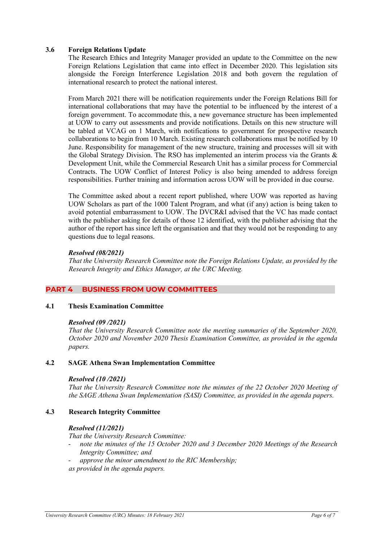# **3.6 Foreign Relations Update**

The Research Ethics and Integrity Manager provided an update to the Committee on the new Foreign Relations Legislation that came into effect in December 2020. This legislation sits alongside the Foreign Interference Legislation 2018 and both govern the regulation of international research to protect the national interest.

From March 2021 there will be notification requirements under the Foreign Relations Bill for international collaborations that may have the potential to be influenced by the interest of a foreign government. To accommodate this, a new governance structure has been implemented at UOW to carry out assessments and provide notifications. Details on this new structure will be tabled at VCAG on 1 March, with notifications to government for prospective research collaborations to begin from 10 March. Existing research collaborations must be notified by 10 June. Responsibility for management of the new structure, training and processes will sit with the Global Strategy Division. The RSO has implemented an interim process via the Grants & Development Unit, while the Commercial Research Unit has a similar process for Commercial Contracts. The UOW Conflict of Interest Policy is also being amended to address foreign responsibilities. Further training and information across UOW will be provided in due course.

The Committee asked about a recent report published, where UOW was reported as having UOW Scholars as part of the 1000 Talent Program, and what (if any) action is being taken to avoid potential embarrassment to UOW. The DVCR&I advised that the VC has made contact with the publisher asking for details of those 12 identified, with the publisher advising that the author of the report has since left the organisation and that they would not be responding to any questions due to legal reasons.

# *Resolved (08/2021)*

*That the University Research Committee note the Foreign Relations Update, as provided by the Research Integrity and Ethics Manager, at the URC Meeting.*

# **PART 4 BUSINESS FROM UOW COMMITTEES**

## **4.1 Thesis Examination Committee**

## *Resolved (09 /2021)*

*That the University Research Committee note the meeting summaries of the September 2020, October 2020 and November 2020 Thesis Examination Committee, as provided in the agenda papers.*

## **4.2 SAGE Athena Swan Implementation Committee**

## *Resolved (10 /2021)*

*That the University Research Committee note the minutes of the 22 October 2020 Meeting of the SAGE Athena Swan Implementation (SASI) Committee, as provided in the agenda papers.*

## **4.3 Research Integrity Committee**

## *Resolved (11/2021)*

*That the University Research Committee:*

- *note the minutes of the 15 October 2020 and 3 December 2020 Meetings of the Research Integrity Committee; and*
- *approve the minor amendment to the RIC Membership;*
- *as provided in the agenda papers.*